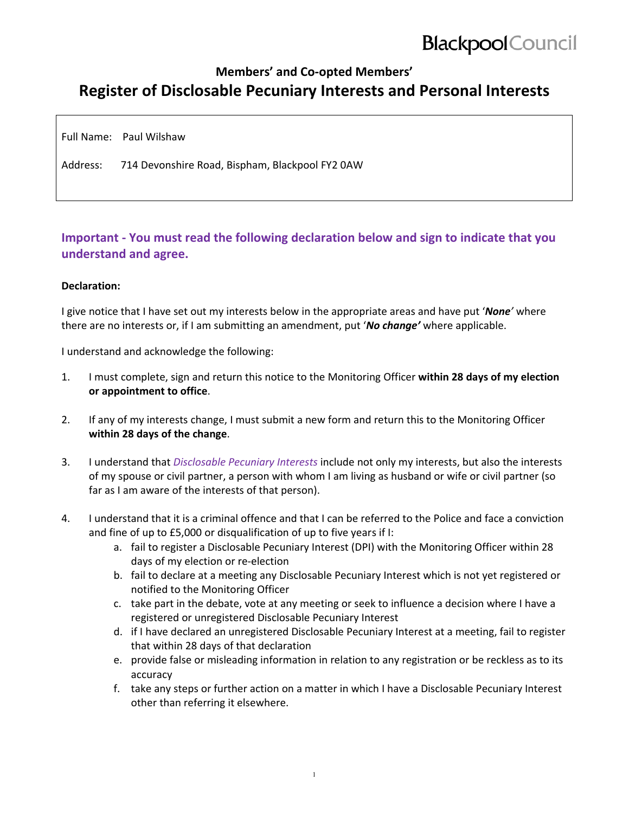# **Blackpool** Council

### **Members' and Co‐opted Members' Register of Disclosable Pecuniary Interests and Personal Interests**

Full Name: Paul Wilshaw

Address: 714 Devonshire Road, Bispham, Blackpool FY2 0AW

### **Important ‐ You must read the following declaration below and sign to indicate that you understand and agree.**

#### **Declaration:**

I give notice that I have set out my interests below in the appropriate areas and have put '*None'* where there are no interests or, if I am submitting an amendment, put '*No change'* where applicable.

I understand and acknowledge the following:

- 1. I must complete, sign and return this notice to the Monitoring Officer **within 28 days of my election or appointment to office**.
- 2. If any of my interests change, I must submit a new form and return this to the Monitoring Officer **within 28 days of the change**.
- 3. I understand that *Disclosable Pecuniary Interests* include not only my interests, but also the interests of my spouse or civil partner, a person with whom I am living as husband or wife or civil partner (so far as I am aware of the interests of that person).
- 4. I understand that it is a criminal offence and that I can be referred to the Police and face a conviction and fine of up to £5,000 or disqualification of up to five years if I:
	- a. fail to register a Disclosable Pecuniary Interest (DPI) with the Monitoring Officer within 28 days of my election or re‐election
	- b. fail to declare at a meeting any Disclosable Pecuniary Interest which is not yet registered or notified to the Monitoring Officer
	- c. take part in the debate, vote at any meeting or seek to influence a decision where I have a registered or unregistered Disclosable Pecuniary Interest
	- d. if I have declared an unregistered Disclosable Pecuniary Interest at a meeting, fail to register that within 28 days of that declaration
	- e. provide false or misleading information in relation to any registration or be reckless as to its accuracy
	- f. take any steps or further action on a matter in which I have a Disclosable Pecuniary Interest other than referring it elsewhere.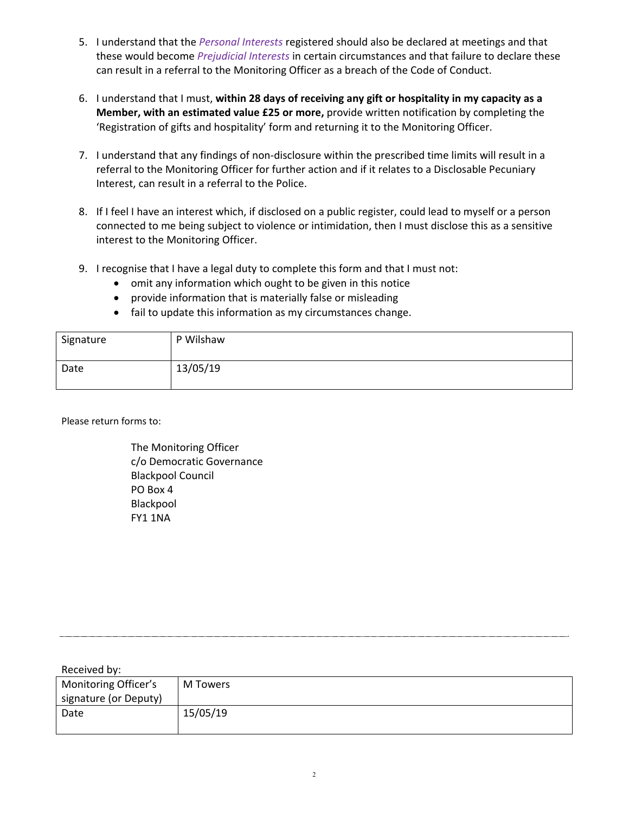- 5. I understand that the *Personal Interests* registered should also be declared at meetings and that these would become *Prejudicial Interests* in certain circumstances and that failure to declare these can result in a referral to the Monitoring Officer as a breach of the Code of Conduct.
- 6. I understand that I must, **within 28 days of receiving any gift or hospitality in my capacity as a Member, with an estimated value £25 or more,** provide written notification by completing the 'Registration of gifts and hospitality' form and returning it to the Monitoring Officer.
- 7. I understand that any findings of non-disclosure within the prescribed time limits will result in a referral to the Monitoring Officer for further action and if it relates to a Disclosable Pecuniary Interest, can result in a referral to the Police.
- 8. If I feel I have an interest which, if disclosed on a public register, could lead to myself or a person connected to me being subject to violence or intimidation, then I must disclose this as a sensitive interest to the Monitoring Officer.
- 9. I recognise that I have a legal duty to complete this form and that I must not:
	- omit any information which ought to be given in this notice
	- provide information that is materially false or misleading
	- fail to update this information as my circumstances change.

| Signature | P Wilshaw |
|-----------|-----------|
| Date      | 13/05/19  |

Please return forms to:

The Monitoring Officer c/o Democratic Governance Blackpool Council PO Box 4 Blackpool FY1 1NA

| Received by:          |          |
|-----------------------|----------|
| Monitoring Officer's  | M Towers |
| signature (or Deputy) |          |
| Date                  | 15/05/19 |
|                       |          |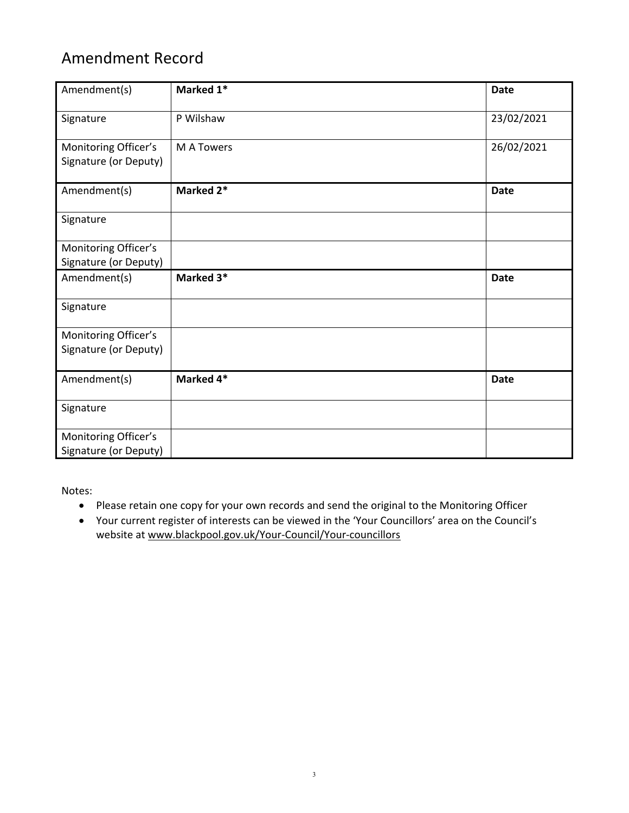## Amendment Record

| Amendment(s)                                  | Marked 1*         | <b>Date</b> |
|-----------------------------------------------|-------------------|-------------|
| Signature                                     | P Wilshaw         | 23/02/2021  |
| Monitoring Officer's<br>Signature (or Deputy) | <b>M A Towers</b> | 26/02/2021  |
| Amendment(s)                                  | Marked 2*         | <b>Date</b> |
| Signature                                     |                   |             |
| Monitoring Officer's                          |                   |             |
| Signature (or Deputy)                         |                   |             |
| Amendment(s)                                  | Marked 3*         | <b>Date</b> |
| Signature                                     |                   |             |
| Monitoring Officer's                          |                   |             |
| Signature (or Deputy)                         |                   |             |
| Amendment(s)                                  | Marked 4*         | <b>Date</b> |
| Signature                                     |                   |             |
| Monitoring Officer's                          |                   |             |
| Signature (or Deputy)                         |                   |             |

Notes:

- Please retain one copy for your own records and send the original to the Monitoring Officer
- Your current register of interests can be viewed in the 'Your Councillors' area on the Council's website at www.blackpool.gov.uk/Your-Council/Your-councillors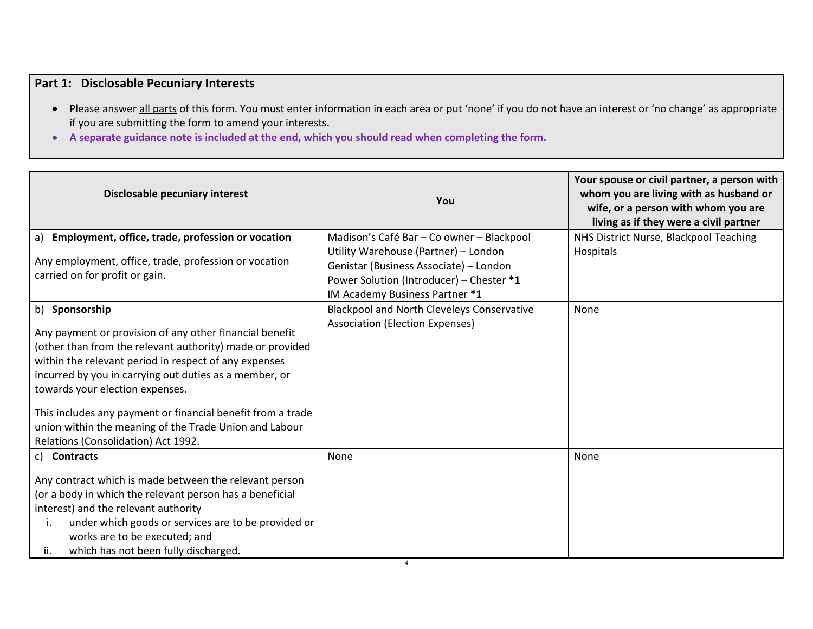### **Part 1: Disclosable Pecuniary Interests**

- Please answer all parts of this form. You must enter information in each area or put 'none' if you do not have an interest or 'no change' as appropriate if you are submitting the form to amend your interests.
- **A separate guidance note is included at the end, which you should read when completing the form.**

| Disclosable pecuniary interest                                                                                                                                                                                                                                                                                                                                                                                                             | You                                                                                                                                                          | Your spouse or civil partner, a person with<br>whom you are living with as husband or<br>wife, or a person with whom you are<br>living as if they were a civil partner |
|--------------------------------------------------------------------------------------------------------------------------------------------------------------------------------------------------------------------------------------------------------------------------------------------------------------------------------------------------------------------------------------------------------------------------------------------|--------------------------------------------------------------------------------------------------------------------------------------------------------------|------------------------------------------------------------------------------------------------------------------------------------------------------------------------|
| a) Employment, office, trade, profession or vocation                                                                                                                                                                                                                                                                                                                                                                                       | Madison's Café Bar - Co owner - Blackpool                                                                                                                    | NHS District Nurse, Blackpool Teaching                                                                                                                                 |
| Any employment, office, trade, profession or vocation<br>carried on for profit or gain.                                                                                                                                                                                                                                                                                                                                                    | Utility Warehouse (Partner) - London<br>Genistar (Business Associate) - London<br>Power Solution (Introducer) - Chester *1<br>IM Academy Business Partner *1 | Hospitals                                                                                                                                                              |
| b) Sponsorship                                                                                                                                                                                                                                                                                                                                                                                                                             | <b>Blackpool and North Cleveleys Conservative</b>                                                                                                            | None                                                                                                                                                                   |
| Any payment or provision of any other financial benefit<br>(other than from the relevant authority) made or provided<br>within the relevant period in respect of any expenses<br>incurred by you in carrying out duties as a member, or<br>towards your election expenses.<br>This includes any payment or financial benefit from a trade<br>union within the meaning of the Trade Union and Labour<br>Relations (Consolidation) Act 1992. | Association (Election Expenses)                                                                                                                              |                                                                                                                                                                        |
| c) Contracts                                                                                                                                                                                                                                                                                                                                                                                                                               | None                                                                                                                                                         | None                                                                                                                                                                   |
| Any contract which is made between the relevant person<br>(or a body in which the relevant person has a beneficial                                                                                                                                                                                                                                                                                                                         |                                                                                                                                                              |                                                                                                                                                                        |
| interest) and the relevant authority                                                                                                                                                                                                                                                                                                                                                                                                       |                                                                                                                                                              |                                                                                                                                                                        |
| under which goods or services are to be provided or<br>Ι.<br>works are to be executed; and<br>which has not been fully discharged.<br>ii.                                                                                                                                                                                                                                                                                                  |                                                                                                                                                              |                                                                                                                                                                        |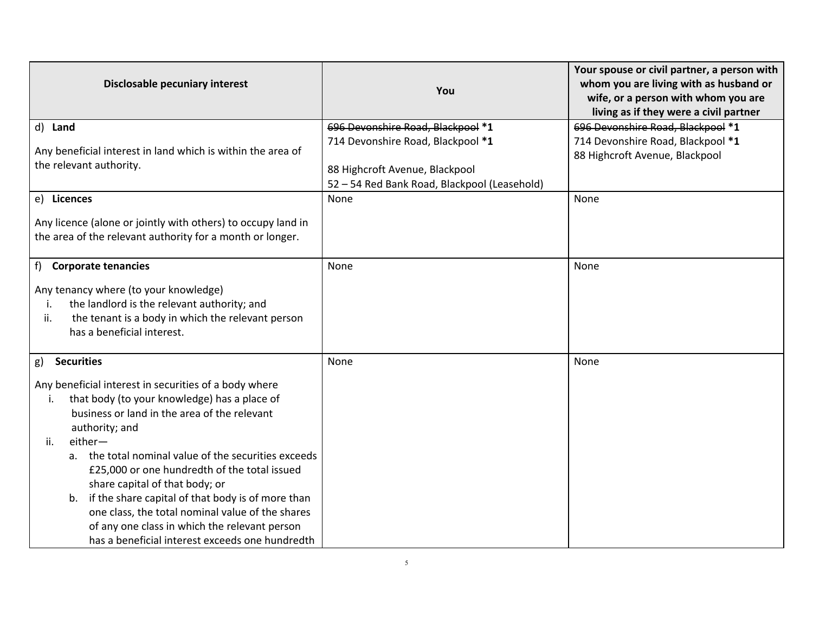| Disclosable pecuniary interest                                                                                                                                                                                                                                                                                                                                                                                                                                                                                                                                                          | You                                                                                                                                                      | Your spouse or civil partner, a person with<br>whom you are living with as husband or<br>wife, or a person with whom you are<br>living as if they were a civil partner |
|-----------------------------------------------------------------------------------------------------------------------------------------------------------------------------------------------------------------------------------------------------------------------------------------------------------------------------------------------------------------------------------------------------------------------------------------------------------------------------------------------------------------------------------------------------------------------------------------|----------------------------------------------------------------------------------------------------------------------------------------------------------|------------------------------------------------------------------------------------------------------------------------------------------------------------------------|
| d) Land<br>Any beneficial interest in land which is within the area of<br>the relevant authority.                                                                                                                                                                                                                                                                                                                                                                                                                                                                                       | 696 Devonshire Road, Blackpool *1<br>714 Devonshire Road, Blackpool *1<br>88 Highcroft Avenue, Blackpool<br>52 - 54 Red Bank Road, Blackpool (Leasehold) | 696 Devonshire Road, Blackpool *1<br>714 Devonshire Road, Blackpool *1<br>88 Highcroft Avenue, Blackpool                                                               |
| e) Licences<br>Any licence (alone or jointly with others) to occupy land in<br>the area of the relevant authority for a month or longer.                                                                                                                                                                                                                                                                                                                                                                                                                                                | None                                                                                                                                                     | None                                                                                                                                                                   |
| f)<br><b>Corporate tenancies</b><br>Any tenancy where (to your knowledge)<br>the landlord is the relevant authority; and<br>i.<br>the tenant is a body in which the relevant person<br>ii.<br>has a beneficial interest.                                                                                                                                                                                                                                                                                                                                                                | None                                                                                                                                                     | None                                                                                                                                                                   |
| <b>Securities</b><br>g)<br>Any beneficial interest in securities of a body where<br>that body (to your knowledge) has a place of<br>i.<br>business or land in the area of the relevant<br>authority; and<br>either-<br>ii.<br>a. the total nominal value of the securities exceeds<br>£25,000 or one hundredth of the total issued<br>share capital of that body; or<br>if the share capital of that body is of more than<br>b.<br>one class, the total nominal value of the shares<br>of any one class in which the relevant person<br>has a beneficial interest exceeds one hundredth | None                                                                                                                                                     | None                                                                                                                                                                   |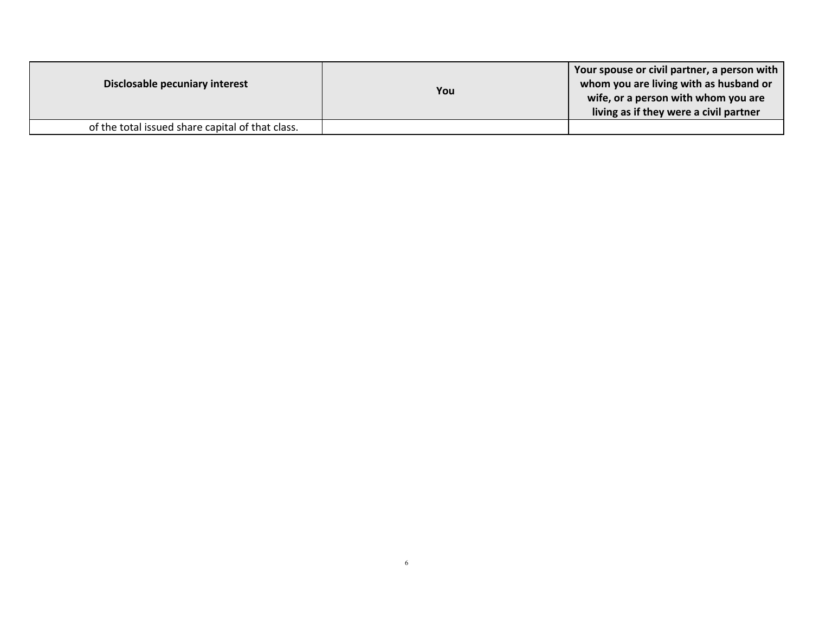| Disclosable pecuniary interest                   | You | Your spouse or civil partner, a person with<br>whom you are living with as husband or<br>wife, or a person with whom you are<br>living as if they were a civil partner |
|--------------------------------------------------|-----|------------------------------------------------------------------------------------------------------------------------------------------------------------------------|
| of the total issued share capital of that class. |     |                                                                                                                                                                        |